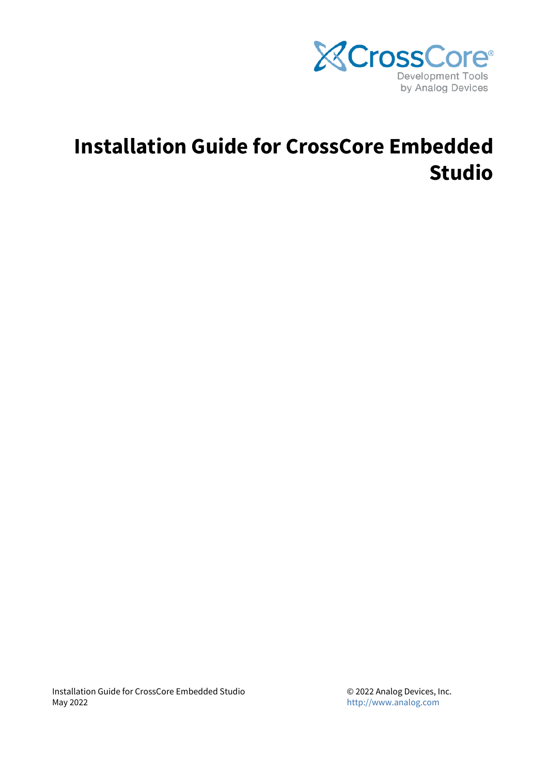

# **Installation Guide for CrossCore Embedded Studio**

Installation Guide for CrossCore Embedded Studio May 2022

© 2022 Analog Devices, Inc. <http://www.analog.com>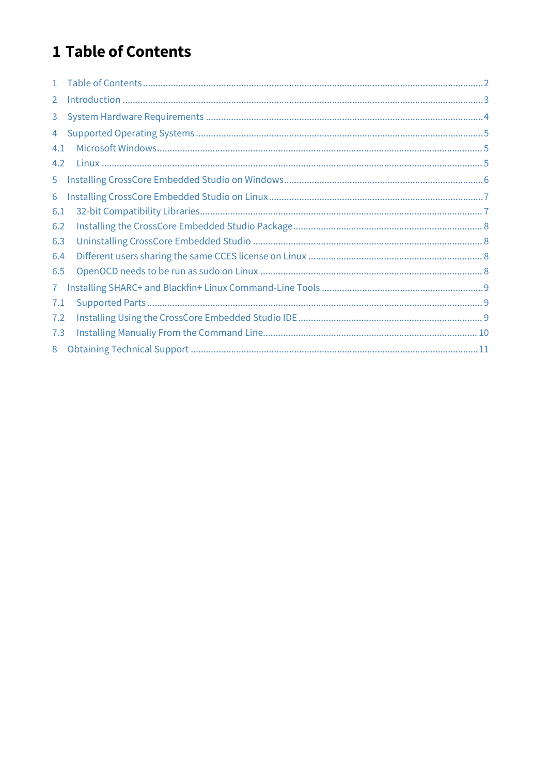# <span id="page-1-0"></span>1 Table of Contents

| $\mathbf{1}$   |  |
|----------------|--|
| $\overline{2}$ |  |
| 3              |  |
| 4              |  |
| 4.1            |  |
| 4.2            |  |
| 5              |  |
| 6              |  |
| 6.1            |  |
| 6.2            |  |
| 6.3            |  |
| 6.4            |  |
| 6.5            |  |
| 7              |  |
| 7.1            |  |
| 7.2            |  |
| 7.3            |  |
| 8              |  |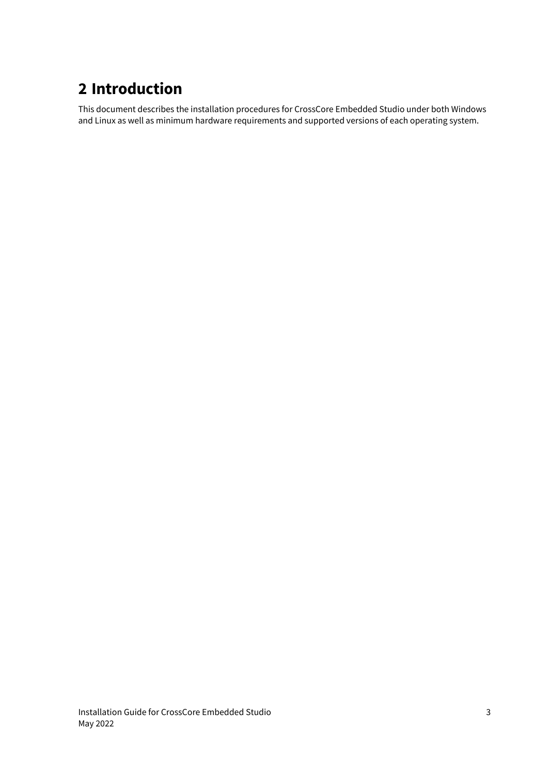# <span id="page-2-0"></span>**2 Introduction**

This document describes the installation procedures for CrossCore Embedded Studio under both Windows and Linux as well as minimum hardware requirements and supported versions of each operating system.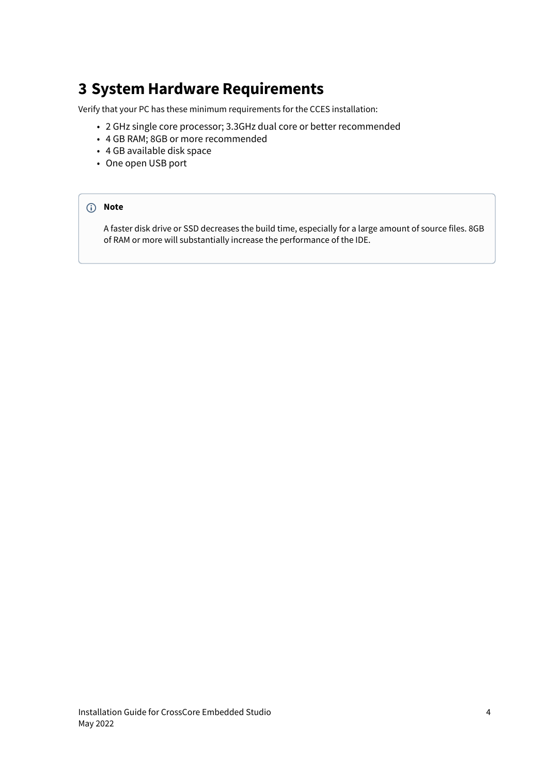## <span id="page-3-0"></span>**3 System Hardware Requirements**

Verify that your PC has these minimum requirements for the CCES installation:

- 2 GHz single core processor; 3.3GHz dual core or better recommended
- 4 GB RAM; 8GB or more recommended
- 4 GB available disk space
- One open USB port

#### **Note**

A faster disk drive or SSD decreases the build time, especially for a large amount of source files. 8GB of RAM or more will substantially increase the performance of the IDE.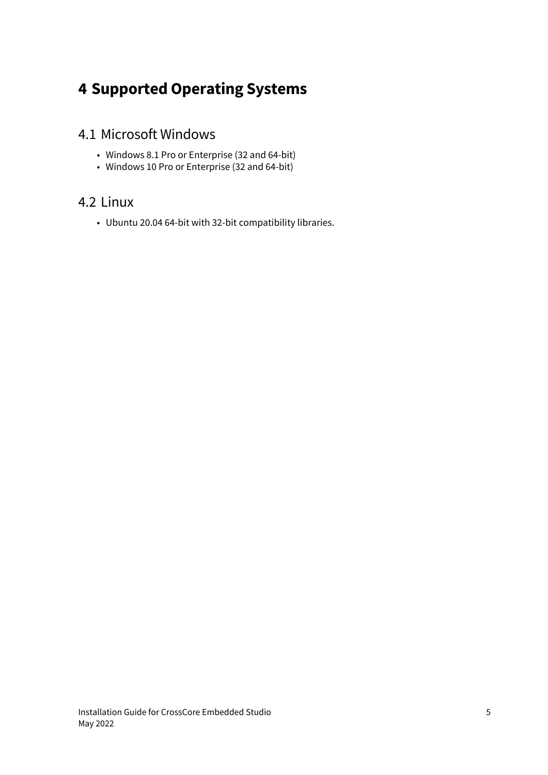# <span id="page-4-0"></span>**4 Supported Operating Systems**

#### <span id="page-4-1"></span>4.1 Microsoft Windows

- Windows 8.1 Pro or Enterprise (32 and 64-bit)
- Windows 10 Pro or Enterprise (32 and 64-bit)

#### <span id="page-4-2"></span>4.2 Linux

• Ubuntu 20.04 64-bit with 32-bit compatibility libraries.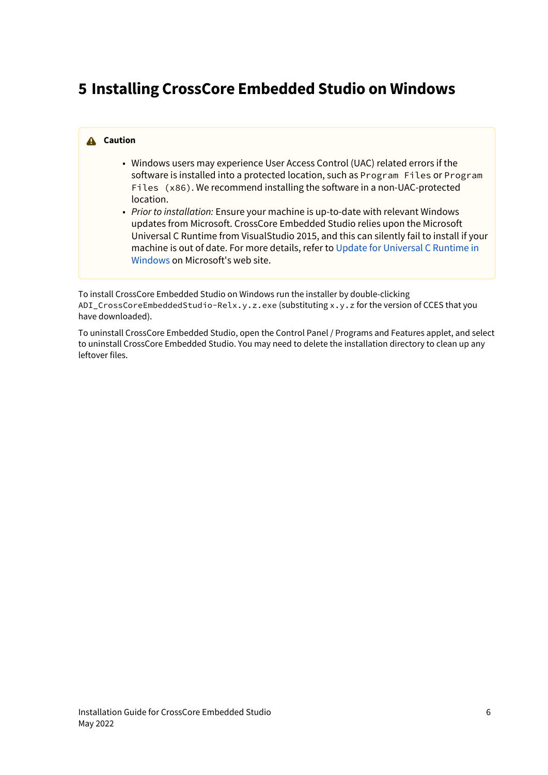# <span id="page-5-0"></span>**5 Installing CrossCore Embedded Studio on Windows**

#### **Caution**

- Windows users may experience User Access Control (UAC) related errors if the software is installed into a protected location, such as Program Files or Program Files (x86). We recommend installing the software in a non-UAC-protected location.
- *Prior to installation:* Ensure your machine is up-to-date with relevant Windows updates from Microsoft. CrossCore Embedded Studio relies upon the Microsoft Universal C Runtime from VisualStudio 2015, and this can silently fail to install if your machine is out of date. For more details, refer to [Update for Universal C Runtime in](https://support.microsoft.com/en-us/help/2999226/update-for-universal-c-runtime-in-windows) [Windows](https://support.microsoft.com/en-us/help/2999226/update-for-universal-c-runtime-in-windows) on Microsoft's web site.

To install CrossCore Embedded Studio on Windows run the installer by double-clicking ADI\_CrossCoreEmbeddedStudio-Relx.y.z.exe (substituting x.y.z for the version of CCES that you have downloaded).

To uninstall CrossCore Embedded Studio, open the Control Panel / Programs and Features applet, and select to uninstall CrossCore Embedded Studio. You may need to delete the installation directory to clean up any leftover files.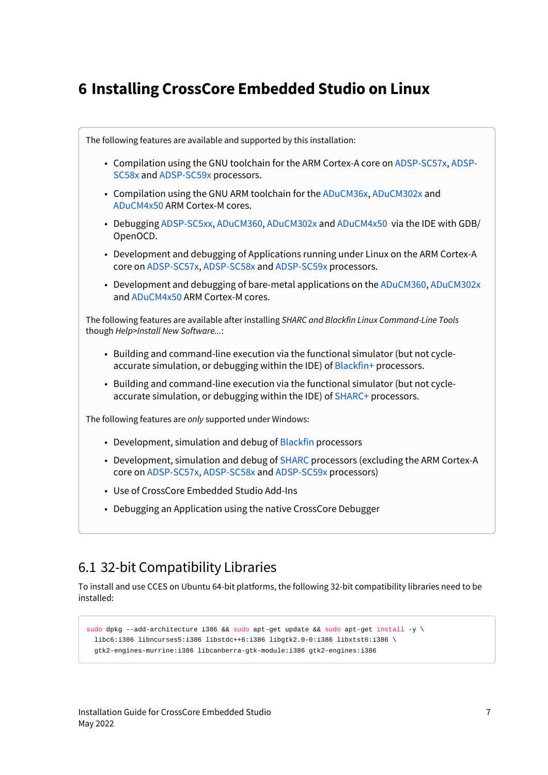## <span id="page-6-0"></span>**6 Installing CrossCore Embedded Studio on Linux**



### <span id="page-6-1"></span>6.1 32-bit Compatibility Libraries

To install and use CCES on Ubuntu 64-bit platforms, the following 32-bit compatibility libraries need to be installed:

```
sudo dpkg --add-architecture i386 && sudo apt-get update && sudo apt-get install -y \setminus libc6:i386 libncurses5:i386 libstdc++6:i386 libgtk2.0-0:i386 libxtst6:i386 \
   gtk2-engines-murrine:i386 libcanberra-gtk-module:i386 gtk2-engines:i386
```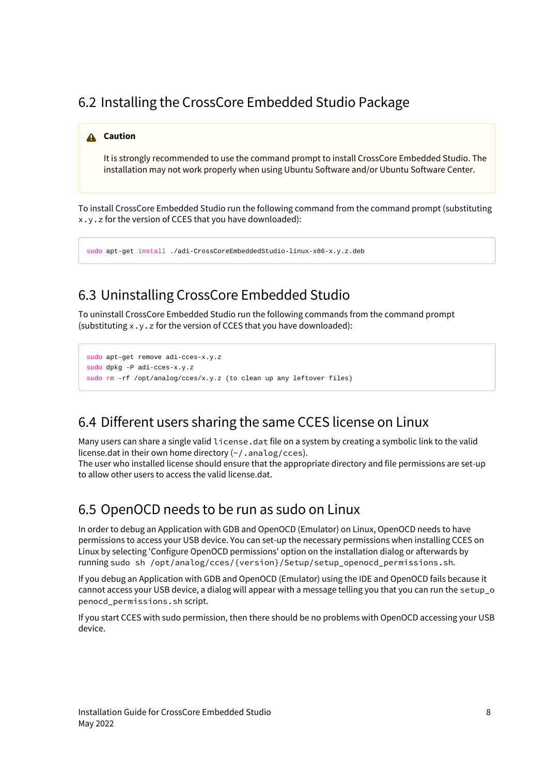### <span id="page-7-0"></span>6.2 Installing the CrossCore Embedded Studio Package

#### **A** Caution

It is strongly recommended to use the command prompt to install CrossCore Embedded Studio. The installation may not work properly when using Ubuntu Software and/or Ubuntu Software Center.

To install CrossCore Embedded Studio run the following command from the command prompt (substituting x.y.z for the version of CCES that you have downloaded):

sudo apt-get install ./adi-CrossCoreEmbeddedStudio-linux-x86-x.y.z.deb

### <span id="page-7-1"></span>6.3 Uninstalling CrossCore Embedded Studio

To uninstall CrossCore Embedded Studio run the following commands from the command prompt (substituting x.y.z for the version of CCES that you have downloaded):

```
sudo apt-get remove adi-cces-x.y.z
sudo dpkg -P adi-cces-x.y.z
sudo rm -rf /opt/analog/cces/x.y.z (to clean up any leftover files)
```
#### <span id="page-7-2"></span>6.4 Different users sharing the same CCES license on Linux

Many users can share a single valid license.dat file on a system by creating a symbolic link to the valid license.dat in their own home directory  $(\sim/$  . analog/cces).

The user who installed license should ensure that the appropriate directory and file permissions are set-up to allow other users to access the valid license.dat.

#### <span id="page-7-3"></span>6.5 OpenOCD needs to be run as sudo on Linux

In order to debug an Application with GDB and OpenOCD (Emulator) on Linux, OpenOCD needs to have permissions to access your USB device. You can set-up the necessary permissions when installing CCES on Linux by selecting 'Configure OpenOCD permissions' option on the installation dialog or afterwards by running sudo sh /opt/analog/cces/{version}/Setup/setup\_openocd\_permissions.sh.

If you debug an Application with GDB and OpenOCD (Emulator) using the IDE and OpenOCD fails because it cannot access your USB device, a dialog will appear with a message telling you that you can run the setup\_o penocd\_permissions.sh script.

If you start CCES with sudo permission, then there should be no problems with OpenOCD accessing your USB device.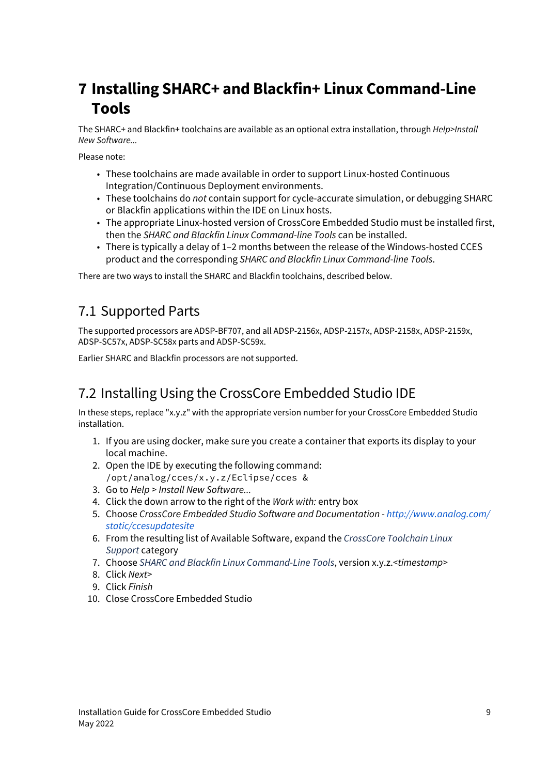# <span id="page-8-0"></span>**7 Installing SHARC+ and Blackfin+ Linux Command-Line Tools**

The SHARC+ and Blackfin+ toolchains are available as an optional extra installation, through *Help>Install New Software...*

Please note:

- These toolchains are made available in order to support Linux-hosted Continuous Integration/Continuous Deployment environments.
- These toolchains do *not* contain support for cycle-accurate simulation, or debugging SHARC or Blackfin applications within the IDE on Linux hosts.
- The appropriate Linux-hosted version of CrossCore Embedded Studio must be installed first, then the *SHARC and Blackfin Linux Command-line Tools* can be installed.
- There is typically a delay of 1–2 months between the release of the Windows-hosted CCES product and the corresponding *SHARC and Blackfin Linux Command-line Tools*.

There are two ways to install the SHARC and Blackfin toolchains, described below.

#### <span id="page-8-1"></span>7.1 Supported Parts

The supported processors are ADSP-BF707, and all ADSP-2156x, ADSP-2157x, ADSP-2158x, ADSP-2159x, ADSP-SC57x, ADSP-SC58x parts and ADSP-SC59x.

Earlier SHARC and Blackfin processors are not supported.

### <span id="page-8-2"></span>7.2 Installing Using the CrossCore Embedded Studio IDE

In these steps, replace "x.y.z" with the appropriate version number for your CrossCore Embedded Studio installation.

- 1. If you are using docker, make sure you create a container that exports its display to your local machine.
- 2. Open the IDE by executing the following command: /opt/analog/cces/x.y.z/Eclipse/cces &
- 3. Go to *Help* > *Install New Software...*
- 4. Click the down arrow to the right of the *Work with:* entry box
- 5. Choose *CrossCore Embedded Studio Software and Documentation - [http://www.analog.com/](http://www.analog.com/static/ccesupdatesite) [static/ccesupdatesite](http://www.analog.com/static/ccesupdatesite)*
- 6. From the resulting list of Available Software, expand the *CrossCore Toolchain Linux Support* category
- 7. Choose *SHARC and Blackfin Linux Command-Line Tools*, version x.y.z.*<timestamp>*
- 8. Click *Next>*
- 9. Click *Finish*
- 10. Close CrossCore Embedded Studio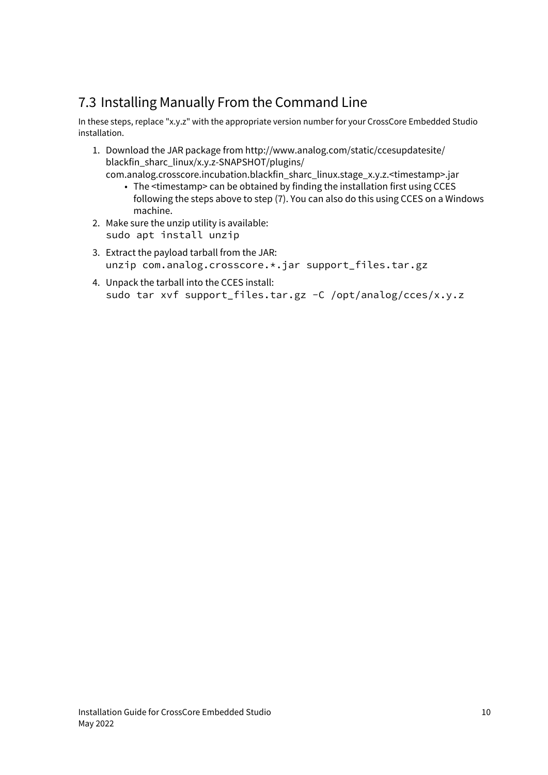### <span id="page-9-0"></span>7.3 Installing Manually From the Command Line

In these steps, replace "x.y.z" with the appropriate version number for your CrossCore Embedded Studio installation.

- 1. Download the JAR package from http://www.analog.com/static/ccesupdatesite/ blackfin\_sharc\_linux/x.y.z-SNAPSHOT/plugins/
	- The <timestamp> can be obtained by finding the installation first using CCES com.analog.crosscore.incubation.blackfin\_sharc\_linux.stage\_x.y.z.<timestamp>.jar following the steps above to step (7). You can also do this using CCES on a Windows machine.
- 2. Make sure the unzip utility is available: sudo apt install unzip
- 3. Extract the payload tarball from the JAR: unzip com.analog.crosscore.\*.jar support\_files.tar.gz
- 4. Unpack the tarball into the CCES install: sudo tar xvf support\_files.tar.gz -C /opt/analog/cces/x.y.z